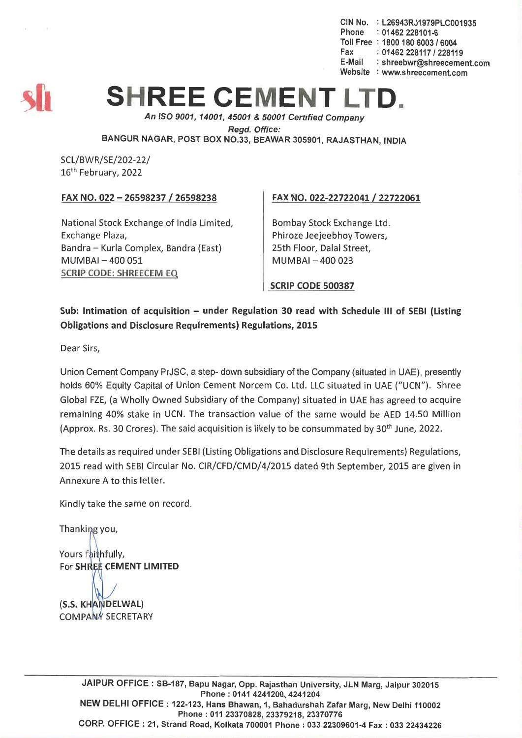CIN No. : L26943RJ1979PLC001935 Phone : 01462 228101-6 Toll Free : 1800 180 *6003/6004* Fax: *01462228117/228119* E-Mail : shreebwr@shreecement.com Website : www.shreecement.com



## **SHREE CEMENT L**

*An ISO 9001, 14001,45001* & *50001 Cenified Company Regd. Office:* BANGUR NAGAR, POST BOX NO.33, BEAWAR 305901, RAJASTHAN, INDIA

SCL/BWR/SE/202-22/ 16th February, 2022

## FAX NO. 022 - 26598237 /26598238

National Stock Exchange of India Limited, Exchange Plaza, Bandra - Kurla Complex, Bandra (East) MUMBAI- 400 051 SCRIP CODE: SHREECEM EQ

## FAX NO. 022-22722041 *L 22722061*

Bombay Stock Exchange Ltd. Phiroze Jeejeebhoy Towers, 25th Floor, Dalal Street, MUMBAI- 400 023

SCRIP CODE 500387

Sub: Intimation of acquisition - under Regulation 30 read with Schedule III of SEBI (Listing Obligations and Disclosure Requirements) Regulations, 2015

Dear Sirs,

Union Cement Company PrJSC, a step- down subsidiary of the Company (situated in UAE), presently holds 60% Equity Capital of Union Cement Norcem Co. Ltd. LLCsituated in UAE *("UCN").* Shree Global FZE,(a Wholly Owned Subsidiary of the Company) situated in UAE has agreed to acquire remaining 40% stake in UCN. The transaction value of the same would be AED 14.50 Million (Approx. Rs. 30 Crores). The said acquisition is likely to be consummated by 30<sup>th</sup> June, 2022.

The details as required under SEBI(Listing Obligations and Disclosure Requirements) Regulations, 2015 read with SEBICircular No. CIR/CFD/CMD/4/2015 dated 9th September, 2015 are given in Annexure A to this letter.

Kindly take the same on record.

Thanking you,

Yours faithfully, For SHREE CEMENT LIMITED

(S.S. KHANDELWAL) **COMPANY SECRETARY**